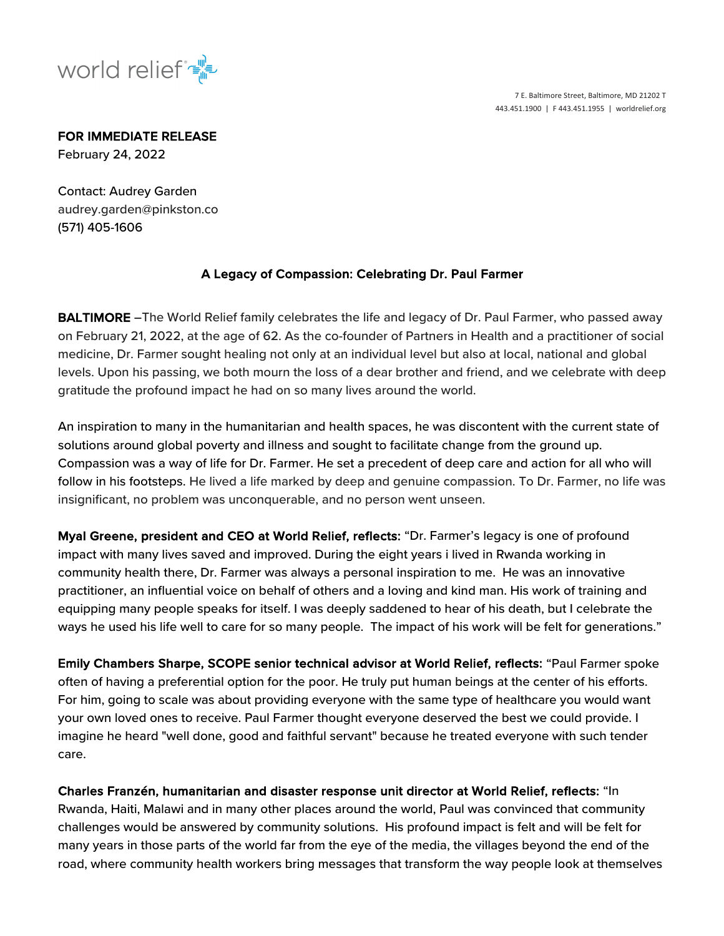

7 E. Baltimore Street, Baltimore, MD 21202 T 443.451.1900 | F 443.451.1955 | worldrelief.org

FOR IMMEDIATE RELEASE

February 24, 2022

Contact: Audrey Garden audrey.garden@pinkston.co (571) 405-1606

## A Legacy of Compassion: Celebrating Dr. Paul Farmer

BALTIMORE -The World Relief family celebrates the life and legacy of Dr. Paul Farmer, who passed away on February 21, 2022, at the age of 62. As the co-founder of Partners in Health and a practitioner of social medicine, Dr. Farmer sought healing not only at an individual level but also at local, national and global levels. Upon his passing, we both mourn the loss of a dear brother and friend, and we celebrate with deep gratitude the profound impact he had on so many lives around the world.

An inspiration to many in the humanitarian and health spaces, he was discontent with the current state of solutions around global poverty and illness and sought to facilitate change from the ground up. Compassion was a way of life for Dr. Farmer. He set a precedent of deep care and action for all who will follow in his footsteps. He lived a life marked by deep and genuine compassion. To Dr. Farmer, no life was insignificant, no problem was unconquerable, and no person went unseen.

Myal Greene, president and CEO at World Relief, reflects: "Dr. Farmer's legacy is one of profound impact with many lives saved and improved. During the eight years i lived in Rwanda working in community health there, Dr. Farmer was always a personal inspiration to me. He was an innovative practitioner, an influential voice on behalf of others and a loving and kind man. His work of training and equipping many people speaks for itself. I was deeply saddened to hear of his death, but I celebrate the ways he used his life well to care for so many people. The impact of his work will be felt for generations."

Emily Chambers Sharpe, SCOPE senior technical advisor at World Relief, reflects: "Paul Farmer spoke often of having a preferential option for the poor. He truly put human beings at the center of his efforts. For him, going to scale was about providing everyone with the same type of healthcare you would want your own loved ones to receive. Paul Farmer thought everyone deserved the best we could provide. I imagine he heard "well done, good and faithful servant" because he treated everyone with such tender care.

Charles Franzén, humanitarian and disaster response unit director at World Relief, reflects: "In Rwanda, Haiti, Malawi and in many other places around the world, Paul was convinced that community challenges would be answered by community solutions. His profound impact is felt and will be felt for many years in those parts of the world far from the eye of the media, the villages beyond the end of the road, where community health workers bring messages that transform the way people look at themselves